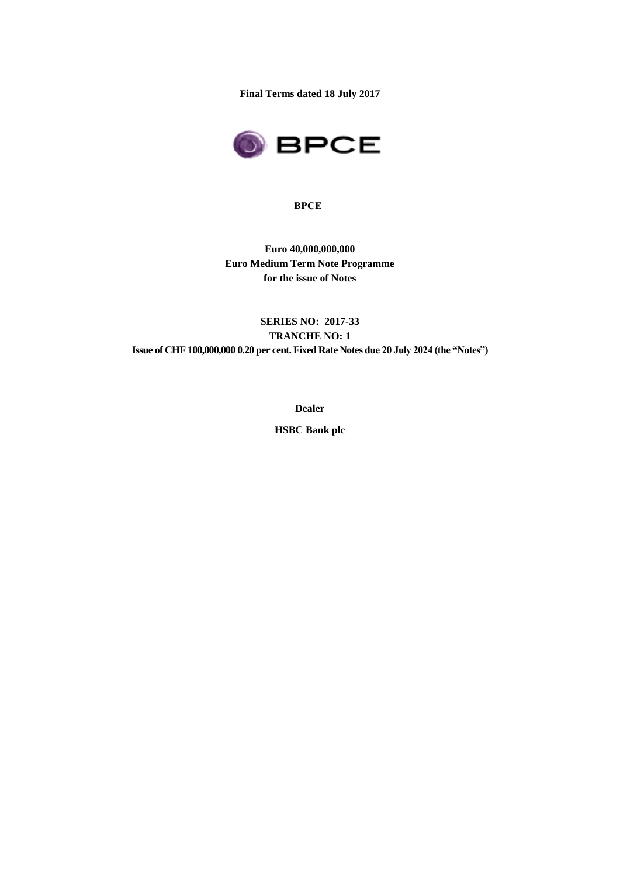**Final Terms dated 18 July 2017**



#### **BPCE**

**Euro 40,000,000,000 Euro Medium Term Note Programme for the issue of Notes**

**SERIES NO: 2017-33 TRANCHE NO: 1 Issue of CHF 100,000,000 0.20 per cent. Fixed Rate Notes due 20 July 2024 (the "Notes")**

**Dealer**

**HSBC Bank plc**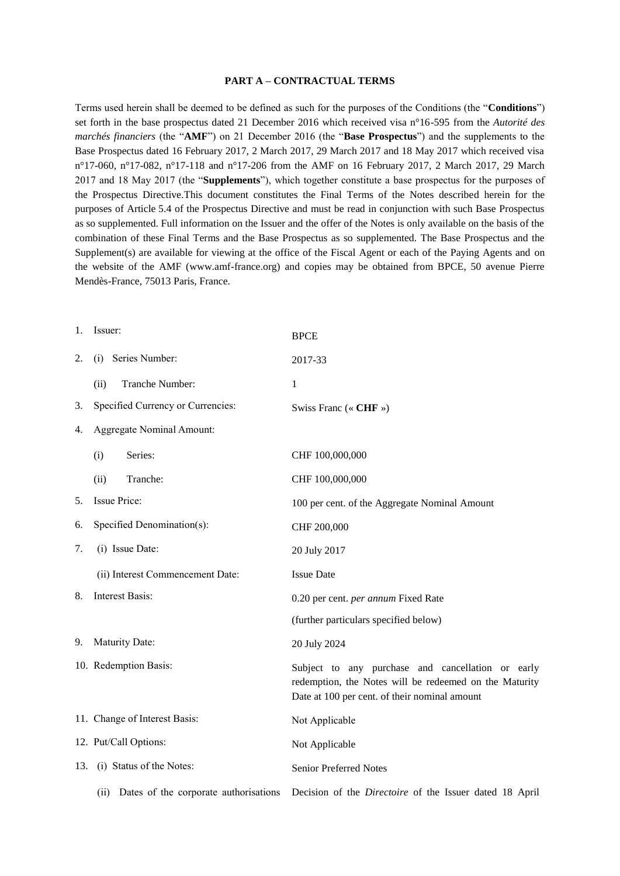#### **PART A – CONTRACTUAL TERMS**

Terms used herein shall be deemed to be defined as such for the purposes of the Conditions (the "**Conditions**") set forth in the base prospectus dated 21 December 2016 which received visa n°16-595 from the *Autorité des marchés financiers* (the "**AMF**") on 21 December 2016 (the "**Base Prospectus**") and the supplements to the Base Prospectus dated 16 February 2017, 2 March 2017, 29 March 2017 and 18 May 2017 which received visa n°17-060, n°17-082, n°17-118 and n°17-206 from the AMF on 16 February 2017, 2 March 2017, 29 March 2017 and 18 May 2017 (the "**Supplements**"), which together constitute a base prospectus for the purposes of the Prospectus Directive.This document constitutes the Final Terms of the Notes described herein for the purposes of Article 5.4 of the Prospectus Directive and must be read in conjunction with such Base Prospectus as so supplemented. Full information on the Issuer and the offer of the Notes is only available on the basis of the combination of these Final Terms and the Base Prospectus as so supplemented. The Base Prospectus and the Supplement(s) are available for viewing at the office of the Fiscal Agent or each of the Paying Agents and on the website of the AMF (www.amf-france.org) and copies may be obtained from BPCE, 50 avenue Pierre Mendès-France, 75013 Paris, France.

| 1.  | Issuer:                                      | <b>BPCE</b>                                                                                                                                                  |
|-----|----------------------------------------------|--------------------------------------------------------------------------------------------------------------------------------------------------------------|
| 2.  | (i) Series Number:                           | 2017-33                                                                                                                                                      |
|     | Tranche Number:<br>(ii)                      | 1                                                                                                                                                            |
| 3.  | Specified Currency or Currencies:            | Swiss Franc (« CHF »)                                                                                                                                        |
| 4.  | <b>Aggregate Nominal Amount:</b>             |                                                                                                                                                              |
|     | Series:<br>(i)                               | CHF 100,000,000                                                                                                                                              |
|     | Tranche:<br>(ii)                             | CHF 100,000,000                                                                                                                                              |
| 5.  | <b>Issue Price:</b>                          | 100 per cent. of the Aggregate Nominal Amount                                                                                                                |
| 6.  | Specified Denomination(s):                   | CHF 200,000                                                                                                                                                  |
| 7.  | (i) Issue Date:                              | 20 July 2017                                                                                                                                                 |
|     | (ii) Interest Commencement Date:             | <b>Issue Date</b>                                                                                                                                            |
| 8.  | <b>Interest Basis:</b>                       | 0.20 per cent. per annum Fixed Rate                                                                                                                          |
|     |                                              | (further particulars specified below)                                                                                                                        |
| 9.  | Maturity Date:                               | 20 July 2024                                                                                                                                                 |
|     | 10. Redemption Basis:                        | Subject to any purchase and cancellation or early<br>redemption, the Notes will be redeemed on the Maturity<br>Date at 100 per cent. of their nominal amount |
|     | 11. Change of Interest Basis:                | Not Applicable                                                                                                                                               |
|     | 12. Put/Call Options:                        | Not Applicable                                                                                                                                               |
| 13. | (i) Status of the Notes:                     | Senior Preferred Notes                                                                                                                                       |
|     | Dates of the corporate authorisations<br>(i) | Decision of the <i>Directoire</i> of the Issuer dated 18 April                                                                                               |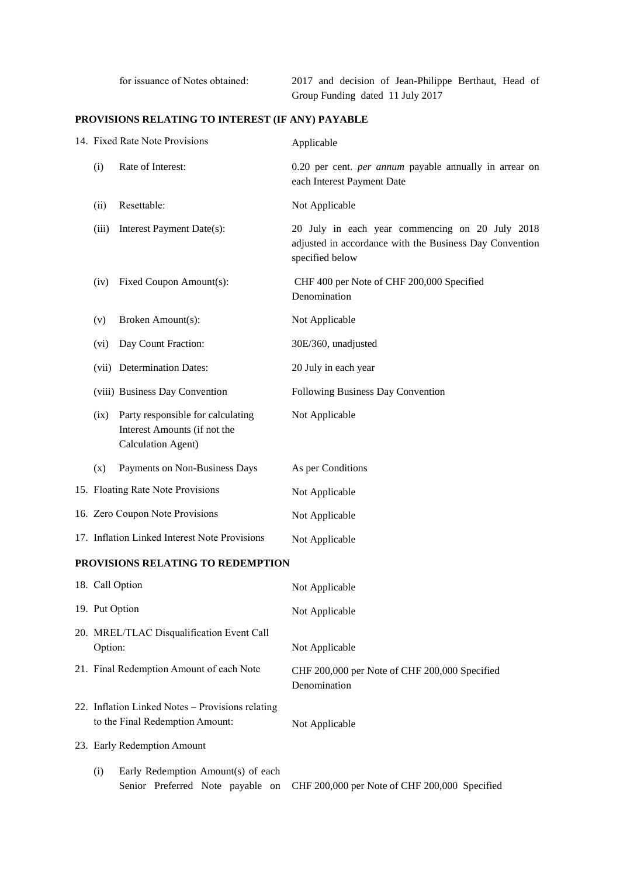for issuance of Notes obtained: 2017 and decision of Jean-Philippe Berthaut, Head of Group Funding dated 11 July 2017

## **PROVISIONS RELATING TO INTEREST (IF ANY) PAYABLE**

|                                                      | 14. Fixed Rate Note Provisions                                                          | Applicable                                                                                                                    |
|------------------------------------------------------|-----------------------------------------------------------------------------------------|-------------------------------------------------------------------------------------------------------------------------------|
| (i)                                                  | Rate of Interest:                                                                       | 0.20 per cent. <i>per annum</i> payable annually in arrear on<br>each Interest Payment Date                                   |
| (ii)                                                 | Resettable:                                                                             | Not Applicable                                                                                                                |
| (iii)                                                | Interest Payment Date(s):                                                               | 20 July in each year commencing on 20 July 2018<br>adjusted in accordance with the Business Day Convention<br>specified below |
| (iv)                                                 | Fixed Coupon Amount(s):                                                                 | CHF 400 per Note of CHF 200,000 Specified<br>Denomination                                                                     |
| (v)                                                  | Broken Amount(s):                                                                       | Not Applicable                                                                                                                |
| (vi)                                                 | Day Count Fraction:                                                                     | 30E/360, unadjusted                                                                                                           |
|                                                      | (vii) Determination Dates:                                                              | 20 July in each year                                                                                                          |
|                                                      | (viii) Business Day Convention                                                          | Following Business Day Convention                                                                                             |
| (ix)                                                 | Party responsible for calculating<br>Interest Amounts (if not the<br>Calculation Agent) | Not Applicable                                                                                                                |
| (x)                                                  | Payments on Non-Business Days                                                           | As per Conditions                                                                                                             |
|                                                      | 15. Floating Rate Note Provisions                                                       | Not Applicable                                                                                                                |
|                                                      | 16. Zero Coupon Note Provisions                                                         | Not Applicable                                                                                                                |
|                                                      | 17. Inflation Linked Interest Note Provisions                                           | Not Applicable                                                                                                                |
|                                                      | PROVISIONS RELATING TO REDEMPTION                                                       |                                                                                                                               |
|                                                      | 18. Call Option                                                                         | Not Applicable                                                                                                                |
| 19. Put Option                                       |                                                                                         | Not Applicable                                                                                                                |
| 20. MREL/TLAC Disqualification Event Call<br>Option: |                                                                                         | Not Applicable                                                                                                                |
| 21. Final Redemption Amount of each Note             |                                                                                         | CHF 200,000 per Note of CHF 200,000 Specified<br>Denomination                                                                 |
|                                                      | 22. Inflation Linked Notes - Provisions relating<br>to the Final Redemption Amount:     | Not Applicable                                                                                                                |
|                                                      | 23. Early Redemption Amount                                                             |                                                                                                                               |
| (i)                                                  | Early Redemption Amount(s) of each<br>Senior Preferred Note payable on                  | CHF 200,000 per Note of CHF 200,000 Specified                                                                                 |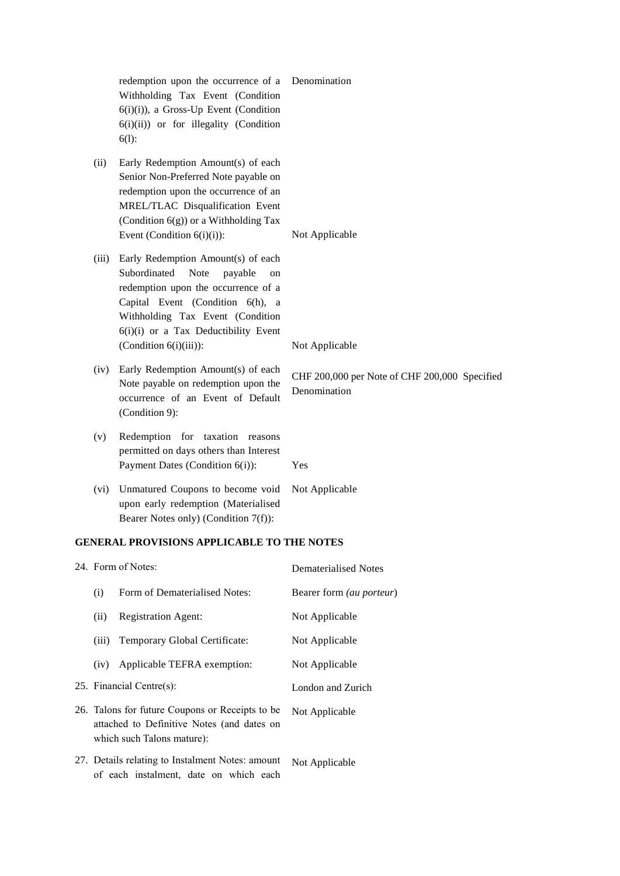|       | redemption upon the occurrence of a<br>Withholding Tax Event (Condition<br>$6(i)(i)$ , a Gross-Up Event (Condition<br>$6(i)(ii)$ or for illegality (Condition<br>$6(1)$ :                                                                                       | Denomination                                                  |
|-------|-----------------------------------------------------------------------------------------------------------------------------------------------------------------------------------------------------------------------------------------------------------------|---------------------------------------------------------------|
| (ii)  | Early Redemption Amount(s) of each<br>Senior Non-Preferred Note payable on<br>redemption upon the occurrence of an<br>MREL/TLAC Disqualification Event<br>(Condition $6(g)$ ) or a Withholding Tax<br>Event (Condition $6(i)(i)$ ):                             | Not Applicable                                                |
| (iii) | Early Redemption Amount(s) of each<br>Subordinated<br>Note<br>payable<br>on<br>redemption upon the occurrence of a<br>Capital Event (Condition 6(h), a<br>Withholding Tax Event (Condition<br>6(i)(i) or a Tax Deductibility Event<br>(Condition $6(i)(iii)$ ): | Not Applicable                                                |
| (iv)  | Early Redemption Amount(s) of each<br>Note payable on redemption upon the<br>occurrence of an Event of Default<br>(Condition 9):                                                                                                                                | CHF 200,000 per Note of CHF 200,000 Specified<br>Denomination |
| (v)   | Redemption for<br>taxation<br>reasons<br>permitted on days others than Interest<br>Payment Dates (Condition 6(i)):                                                                                                                                              | Yes                                                           |
| (vi)  | Unmatured Coupons to become void<br>upon early redemption (Materialised<br>Bearer Notes only) (Condition 7(f)):                                                                                                                                                 | Not Applicable                                                |

## **GENERAL PROVISIONS APPLICABLE TO THE NOTES**

of each instalment, date on which each

| 24. Form of Notes:                                                                                                          |                               | Dematerialised Notes            |
|-----------------------------------------------------------------------------------------------------------------------------|-------------------------------|---------------------------------|
| (i)                                                                                                                         | Form of Dematerialised Notes: | Bearer form <i>(au porteur)</i> |
| <b>Registration Agent:</b><br>(ii)                                                                                          |                               | Not Applicable                  |
| (iii)                                                                                                                       | Temporary Global Certificate: | Not Applicable                  |
| (iv)                                                                                                                        | Applicable TEFRA exemption:   | Not Applicable                  |
| 25. Financial Centre(s):                                                                                                    |                               | London and Zurich               |
| 26. Talons for future Coupons or Receipts to be<br>attached to Definitive Notes (and dates on<br>which such Talons mature): |                               | Not Applicable                  |
| 27. Details relating to Instalment Notes: amount                                                                            |                               | Not Applicable                  |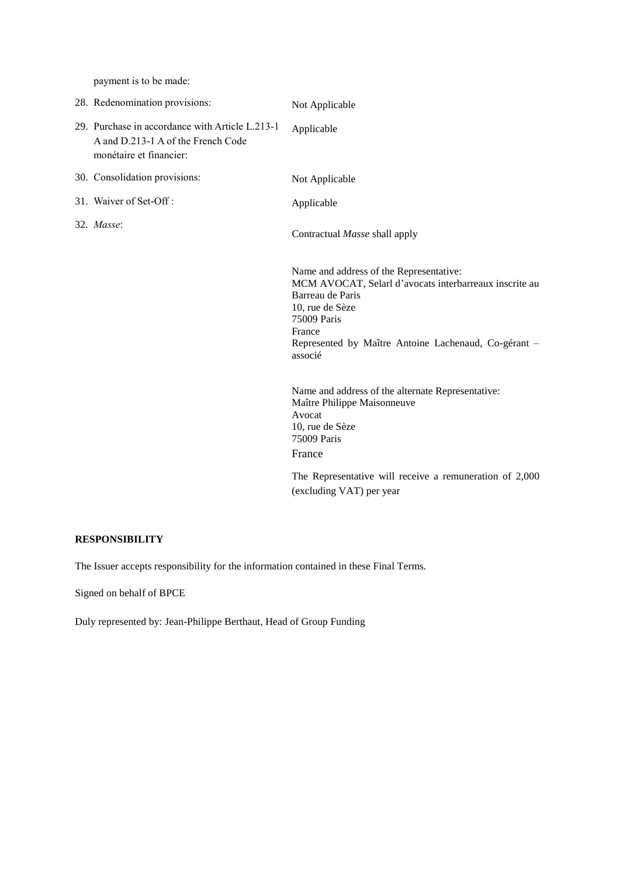payment is to be made:

| 28. Redenomination provisions:                                                                                   | Not Applicable                                                                                                                                                                                                                       |
|------------------------------------------------------------------------------------------------------------------|--------------------------------------------------------------------------------------------------------------------------------------------------------------------------------------------------------------------------------------|
| 29. Purchase in accordance with Article L.213-1<br>A and D.213-1 A of the French Code<br>monétaire et financier: | Applicable                                                                                                                                                                                                                           |
| 30. Consolidation provisions:                                                                                    | Not Applicable                                                                                                                                                                                                                       |
| 31. Waiver of Set-Off:                                                                                           | Applicable                                                                                                                                                                                                                           |
| 32. Masse:                                                                                                       | Contractual Masse shall apply                                                                                                                                                                                                        |
|                                                                                                                  | Name and address of the Representative:<br>MCM AVOCAT, Selarl d'avocats interbarreaux inscrite au<br>Barreau de Paris<br>10, rue de Sèze<br>75009 Paris<br>France<br>Represented by Maître Antoine Lachenaud, Co-gérant -<br>associé |
|                                                                                                                  | Name and address of the alternate Representative:<br>Maître Philippe Maisonneuve<br>Avocat<br>10, rue de Sèze<br>75009 Paris<br>France                                                                                               |
|                                                                                                                  | The Representative will receive a remuneration of 2,000<br>(excluding VAT) per year                                                                                                                                                  |

## **RESPONSIBILITY**

The Issuer accepts responsibility for the information contained in these Final Terms.

Signed on behalf of BPCE

Duly represented by: Jean-Philippe Berthaut, Head of Group Funding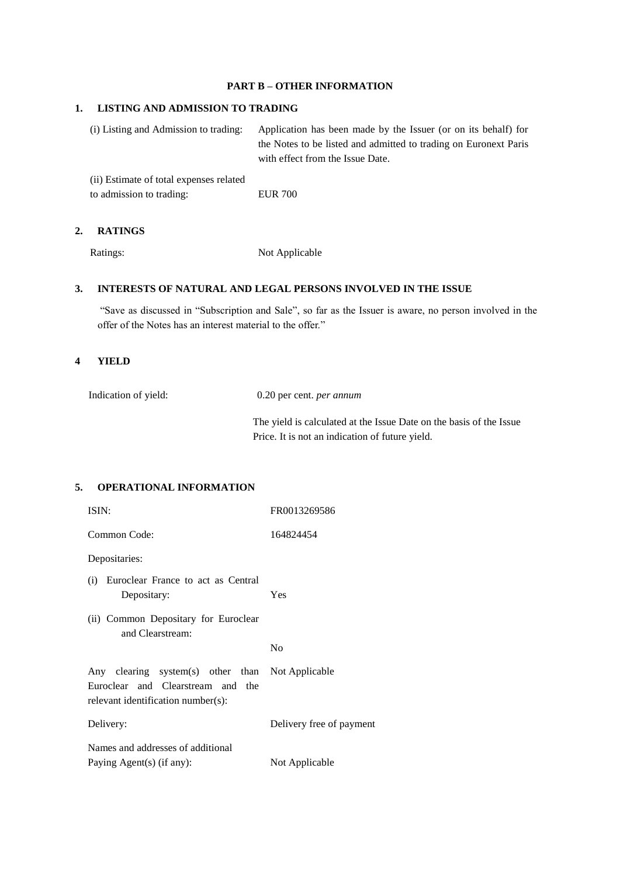## **PART B – OTHER INFORMATION**

### **1. LISTING AND ADMISSION TO TRADING**

(i) Listing and Admission to trading: Application has been made by the Issuer (or on its behalf) for the Notes to be listed and admitted to trading on Euronext Paris with effect from the Issue Date.

(ii) Estimate of total expenses related to admission to trading: EUR 700

#### **2. RATINGS**

Ratings: Not Applicable

### **3. INTERESTS OF NATURAL AND LEGAL PERSONS INVOLVED IN THE ISSUE**

"Save as discussed in "Subscription and Sale", so far as the Issuer is aware, no person involved in the offer of the Notes has an interest material to the offer."

#### **4 YIELD**

| Indication of yield: | 0.20 per cent. <i>per annum</i>                                     |
|----------------------|---------------------------------------------------------------------|
|                      | The yield is calculated at the Issue Date on the basis of the Issue |
|                      | Price. It is not an indication of future yield.                     |

### **5. OPERATIONAL INFORMATION**

| ISIN:                                                                                                                       | FR0013269586             |
|-----------------------------------------------------------------------------------------------------------------------------|--------------------------|
| Common Code:                                                                                                                | 164824454                |
| Depositaries:                                                                                                               |                          |
| (i) Euroclear France to act as Central<br>Depositary:                                                                       | Yes                      |
| (ii) Common Depositary for Euroclear<br>and Clearstream:                                                                    |                          |
|                                                                                                                             | N <sub>0</sub>           |
| Any clearing system(s) other than Not Applicable<br>Euroclear and Clearstream and the<br>relevant identification number(s): |                          |
| Delivery:                                                                                                                   | Delivery free of payment |
| Names and addresses of additional                                                                                           |                          |
| Paying Agent(s) (if any):                                                                                                   | Not Applicable           |